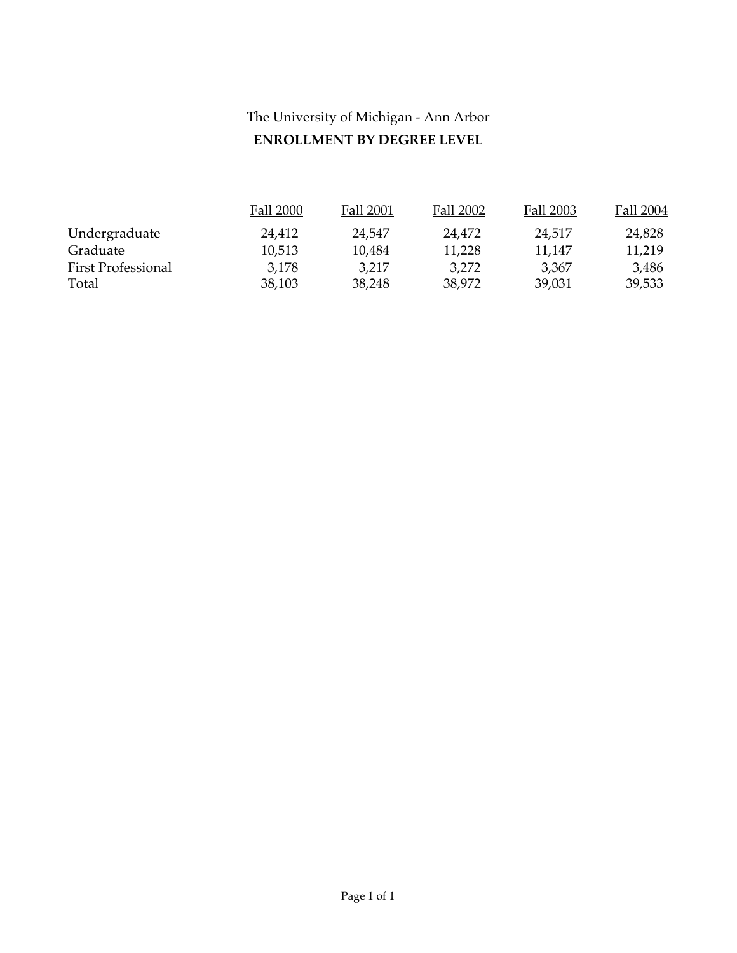# The University of Michigan - Ann Arbor **ENROLLMENT BY DEGREE LEVEL**

|                           | Fall 2000 | Fall 2001 | Fall 2002 | Fall 2003 | Fall 2004 |
|---------------------------|-----------|-----------|-----------|-----------|-----------|
| Undergraduate             | 24.412    | 24.547    | 24.472    | 24,517    | 24,828    |
| Graduate                  | 10,513    | 10,484    | 11,228    | 11,147    | 11,219    |
| <b>First Professional</b> | 3,178     | 3,217     | 3,272     | 3,367     | 3,486     |
| Total                     | 38,103    | 38,248    | 38,972    | 39,031    | 39,533    |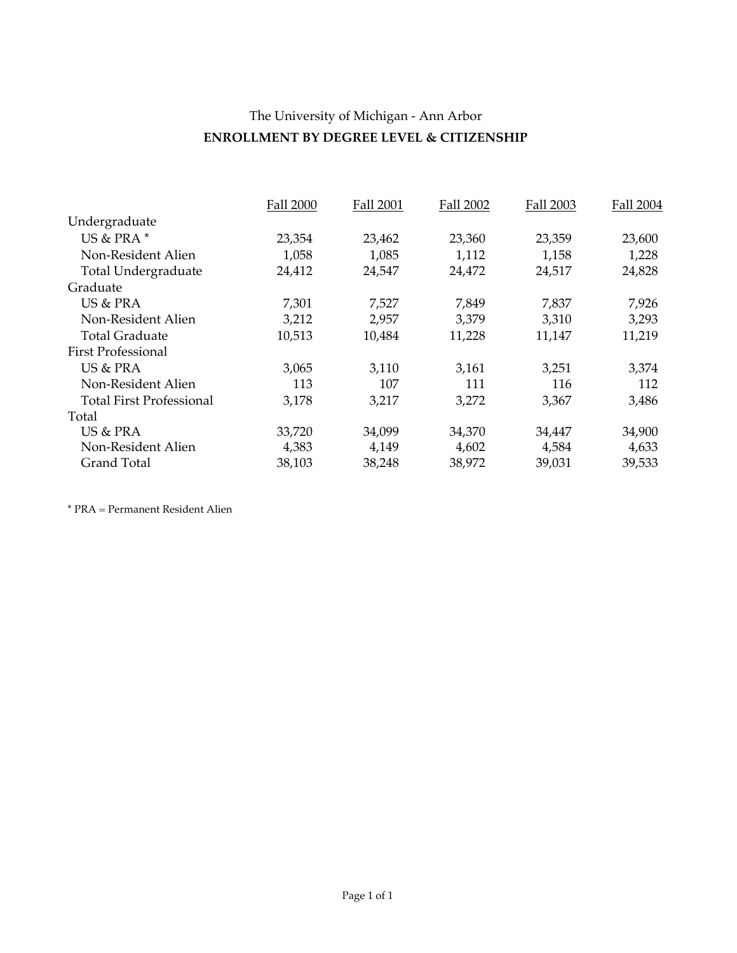## The University of Michigan - Ann Arbor **ENROLLMENT BY DEGREE LEVEL & CITIZENSHIP**

|                                 | <b>Fall 2000</b> | <b>Fall 2001</b> | <b>Fall 2002</b> | Fall 2003 | Fall 2004 |
|---------------------------------|------------------|------------------|------------------|-----------|-----------|
| Undergraduate                   |                  |                  |                  |           |           |
| US & PRA *                      | 23,354           | 23,462           | 23,360           | 23,359    | 23,600    |
| Non-Resident Alien              | 1,058            | 1,085            | 1,112            | 1,158     | 1,228     |
| <b>Total Undergraduate</b>      | 24,412           | 24,547           | 24,472           | 24,517    | 24,828    |
| Graduate                        |                  |                  |                  |           |           |
| US & PRA                        | 7,301            | 7,527            | 7,849            | 7,837     | 7,926     |
| Non-Resident Alien              | 3,212            | 2,957            | 3,379            | 3,310     | 3,293     |
| <b>Total Graduate</b>           | 10,513           | 10,484           | 11,228           | 11,147    | 11,219    |
| <b>First Professional</b>       |                  |                  |                  |           |           |
| US & PRA                        | 3,065            | 3,110            | 3,161            | 3,251     | 3,374     |
| Non-Resident Alien              | 113              | 107              | 111              | 116       | 112       |
| <b>Total First Professional</b> | 3,178            | 3,217            | 3,272            | 3,367     | 3,486     |
| Total                           |                  |                  |                  |           |           |
| US & PRA                        | 33,720           | 34,099           | 34,370           | 34,447    | 34,900    |
| Non-Resident Alien              | 4,383            | 4,149            | 4,602            | 4,584     | 4,633     |
| Grand Total                     | 38,103           | 38,248           | 38,972           | 39,031    | 39,533    |

\* PRA = Permanent Resident Alien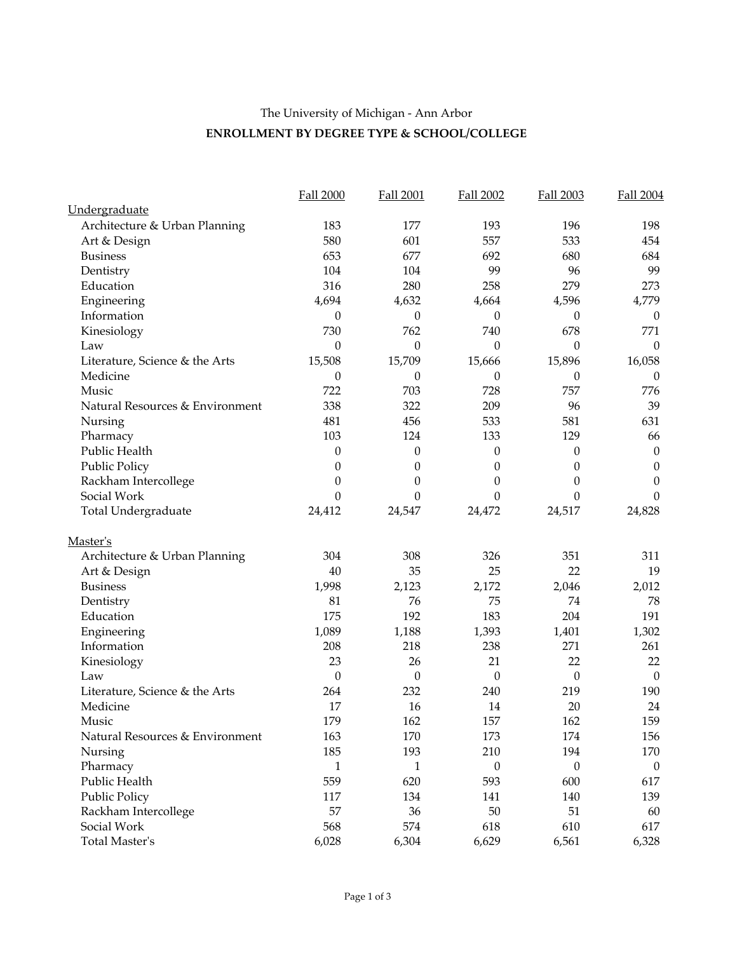#### The University of Michigan - Ann Arbor **ENROLLMENT BY DEGREE TYPE & SCHOOL/COLLEGE**

|                                 | Fall 2000        | Fall 2001        | Fall 2002        | Fall 2003        | <b>Fall 2004</b> |
|---------------------------------|------------------|------------------|------------------|------------------|------------------|
| Undergraduate                   |                  |                  |                  |                  |                  |
| Architecture & Urban Planning   | 183              | 177              | 193              | 196              | 198              |
| Art & Design                    | 580              | 601              | 557              | 533              | 454              |
| <b>Business</b>                 | 653              | 677              | 692              | 680              | 684              |
| Dentistry                       | 104              | 104              | 99               | 96               | 99               |
| Education                       | 316              | 280              | 258              | 279              | 273              |
| Engineering                     | 4,694            | 4,632            | 4,664            | 4,596            | 4,779            |
| Information                     | $\boldsymbol{0}$ | $\boldsymbol{0}$ | $\boldsymbol{0}$ | $\boldsymbol{0}$ | $\theta$         |
| Kinesiology                     | 730              | 762              | 740              | 678              | 771              |
| Law                             | $\boldsymbol{0}$ | $\theta$         | $\theta$         | $\theta$         | $\theta$         |
| Literature, Science & the Arts  | 15,508           | 15,709           | 15,666           | 15,896           | 16,058           |
| Medicine                        | $\boldsymbol{0}$ | $\boldsymbol{0}$ | $\boldsymbol{0}$ | $\theta$         | $\theta$         |
| Music                           | 722              | 703              | 728              | 757              | 776              |
| Natural Resources & Environment | 338              | 322              | 209              | 96               | 39               |
| Nursing                         | 481              | 456              | 533              | 581              | 631              |
| Pharmacy                        | 103              | 124              | 133              | 129              | 66               |
| Public Health                   | $\boldsymbol{0}$ | 0                | 0                | $\boldsymbol{0}$ | $\boldsymbol{0}$ |
| <b>Public Policy</b>            | $\boldsymbol{0}$ | 0                | $\theta$         | 0                | $\boldsymbol{0}$ |
| Rackham Intercollege            | $\boldsymbol{0}$ | $\boldsymbol{0}$ | $\boldsymbol{0}$ | $\boldsymbol{0}$ | $\boldsymbol{0}$ |
| Social Work                     | $\theta$         | $\theta$         | $\theta$         | $\theta$         | $\theta$         |
| Total Undergraduate             | 24,412           | 24,547           | 24,472           | 24,517           | 24,828           |
| Master's                        |                  |                  |                  |                  |                  |
| Architecture & Urban Planning   | 304              | 308              | 326              | 351              | 311              |
| Art & Design                    | 40               | 35               | 25               | 22               | 19               |
| <b>Business</b>                 | 1,998            | 2,123            | 2,172            | 2,046            | 2,012            |
| Dentistry                       | 81               | 76               | 75               | 74               | 78               |
| Education                       | 175              | 192              | 183              | 204              | 191              |
| Engineering                     | 1,089            | 1,188            | 1,393            | 1,401            | 1,302            |
| Information                     | 208              | 218              | 238              | 271              | 261              |
| Kinesiology                     | 23               | 26               | 21               | 22               | 22               |
| Law                             | $\theta$         | $\theta$         | $\theta$         | $\theta$         | $\boldsymbol{0}$ |
| Literature, Science & the Arts  | 264              | 232              | 240              | 219              | 190              |
| Medicine                        | 17               | 16               | 14               | 20               | 24               |
| Music                           | 179              | 162              | 157              | 162              | 159              |
| Natural Resources & Environment | 163              | 170              | 173              | 174              | 156              |
| Nursing                         | 185              | 193              | 210              | 194              | 170              |
| Pharmacy                        | 1                | 1                | $\theta$         | $\overline{0}$   | $\theta$         |
| Public Health                   | 559              | 620              | 593              | 600              | 617              |
| <b>Public Policy</b>            | 117              | 134              | 141              | 140              | 139              |
| Rackham Intercollege            | 57               | 36               | 50               | 51               | 60               |
| Social Work                     | 568              | 574              | 618              | 610              | 617              |
| Total Master's                  | 6,028            | 6,304            | 6,629            | 6,561            | 6,328            |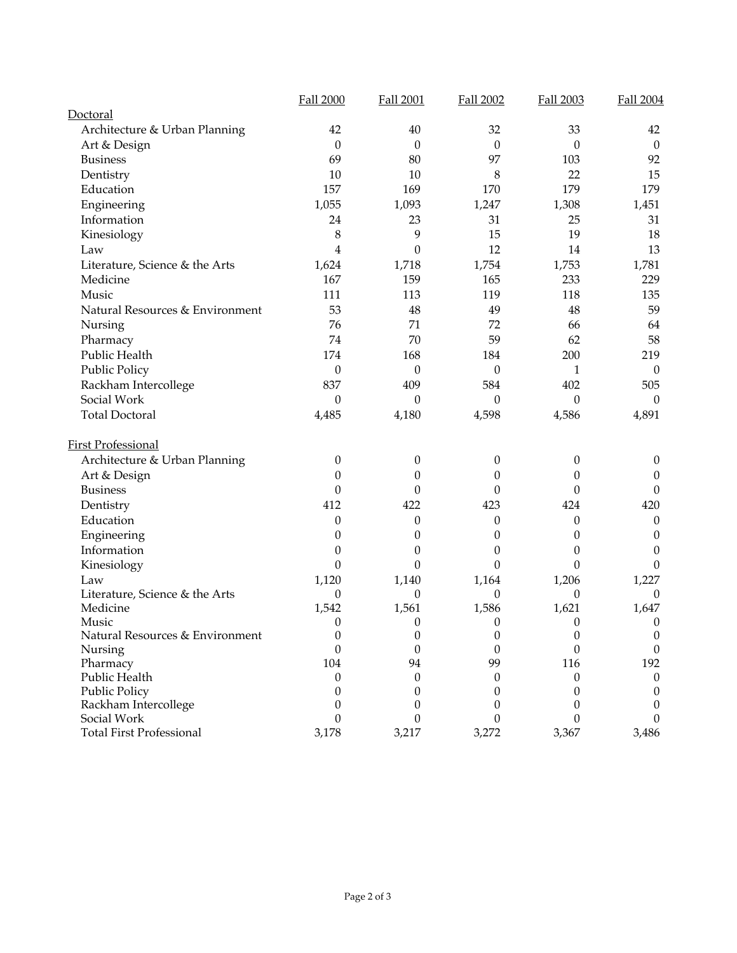| Doctoral<br>Architecture & Urban Planning<br>42<br>40<br>32<br>33<br>Art & Design<br>$\theta$<br>$\theta$<br>$\theta$<br>$\theta$<br>69<br>80<br>97<br>103<br><b>Business</b><br>10<br>10<br>22<br>Dentistry<br>8<br>Education<br>157<br>169<br>179<br>170<br>1,055<br>1,093<br>1,247<br>1,308<br>Engineering<br>Information<br>24<br>31<br>23<br>25<br>8<br>9<br>19<br>15<br>Kinesiology<br>12<br>$\overline{4}$<br>$\mathbf{0}$<br>14<br>Law<br>1,624<br>1,718<br>1,754<br>1,753<br>Literature, Science & the Arts<br>Medicine<br>167<br>159<br>165<br>233<br>111<br>113<br>119<br>118<br>Music<br>53<br>Natural Resources & Environment<br>48<br>49<br>48<br>76<br>71<br>72<br>66<br>Nursing<br>70<br>59<br>62<br>74<br>Pharmacy<br>Public Health<br>168<br>184<br>200<br>174<br><b>Public Policy</b><br>$\boldsymbol{0}$<br>$\boldsymbol{0}$<br>$\theta$<br>1<br>837<br>409<br>584<br>402<br>Rackham Intercollege<br>Social Work<br>$\boldsymbol{0}$<br>$\boldsymbol{0}$<br>$\boldsymbol{0}$<br>$\boldsymbol{0}$<br><b>Total Doctoral</b><br>4,485<br>4,180<br>4,598<br>4,586<br><b>First Professional</b><br>Architecture & Urban Planning<br>0<br>$\boldsymbol{0}$<br>$\boldsymbol{0}$<br>0<br>Art & Design<br>0<br>$\boldsymbol{0}$<br>0<br>0<br>$\boldsymbol{0}$<br>$\boldsymbol{0}$<br>$\boldsymbol{0}$<br><b>Business</b><br>$\theta$<br>412<br>422<br>Dentistry<br>423<br>424<br>Education<br>0<br>$\theta$<br>$\theta$<br>0<br>Engineering<br>$\theta$<br>$\theta$<br>$\theta$<br>$\theta$ | <b>Fall 2000</b> | <b>Fall 2001</b> | Fall 2002 | Fall 2003 | <b>Fall 2004</b>             |
|--------------------------------------------------------------------------------------------------------------------------------------------------------------------------------------------------------------------------------------------------------------------------------------------------------------------------------------------------------------------------------------------------------------------------------------------------------------------------------------------------------------------------------------------------------------------------------------------------------------------------------------------------------------------------------------------------------------------------------------------------------------------------------------------------------------------------------------------------------------------------------------------------------------------------------------------------------------------------------------------------------------------------------------------------------------------------------------------------------------------------------------------------------------------------------------------------------------------------------------------------------------------------------------------------------------------------------------------------------------------------------------------------------------------------------------------------------------------------------------------------------|------------------|------------------|-----------|-----------|------------------------------|
|                                                                                                                                                                                                                                                                                                                                                                                                                                                                                                                                                                                                                                                                                                                                                                                                                                                                                                                                                                                                                                                                                                                                                                                                                                                                                                                                                                                                                                                                                                        |                  |                  |           |           |                              |
|                                                                                                                                                                                                                                                                                                                                                                                                                                                                                                                                                                                                                                                                                                                                                                                                                                                                                                                                                                                                                                                                                                                                                                                                                                                                                                                                                                                                                                                                                                        |                  |                  |           |           | 42                           |
|                                                                                                                                                                                                                                                                                                                                                                                                                                                                                                                                                                                                                                                                                                                                                                                                                                                                                                                                                                                                                                                                                                                                                                                                                                                                                                                                                                                                                                                                                                        |                  |                  |           |           | $\mathbf{0}$                 |
|                                                                                                                                                                                                                                                                                                                                                                                                                                                                                                                                                                                                                                                                                                                                                                                                                                                                                                                                                                                                                                                                                                                                                                                                                                                                                                                                                                                                                                                                                                        |                  |                  |           |           | 92                           |
|                                                                                                                                                                                                                                                                                                                                                                                                                                                                                                                                                                                                                                                                                                                                                                                                                                                                                                                                                                                                                                                                                                                                                                                                                                                                                                                                                                                                                                                                                                        |                  |                  |           |           | 15                           |
|                                                                                                                                                                                                                                                                                                                                                                                                                                                                                                                                                                                                                                                                                                                                                                                                                                                                                                                                                                                                                                                                                                                                                                                                                                                                                                                                                                                                                                                                                                        |                  |                  |           |           | 179                          |
|                                                                                                                                                                                                                                                                                                                                                                                                                                                                                                                                                                                                                                                                                                                                                                                                                                                                                                                                                                                                                                                                                                                                                                                                                                                                                                                                                                                                                                                                                                        |                  |                  |           |           | 1,451                        |
|                                                                                                                                                                                                                                                                                                                                                                                                                                                                                                                                                                                                                                                                                                                                                                                                                                                                                                                                                                                                                                                                                                                                                                                                                                                                                                                                                                                                                                                                                                        |                  |                  |           |           | 31                           |
|                                                                                                                                                                                                                                                                                                                                                                                                                                                                                                                                                                                                                                                                                                                                                                                                                                                                                                                                                                                                                                                                                                                                                                                                                                                                                                                                                                                                                                                                                                        |                  |                  |           |           | 18                           |
|                                                                                                                                                                                                                                                                                                                                                                                                                                                                                                                                                                                                                                                                                                                                                                                                                                                                                                                                                                                                                                                                                                                                                                                                                                                                                                                                                                                                                                                                                                        |                  |                  |           |           | 13                           |
|                                                                                                                                                                                                                                                                                                                                                                                                                                                                                                                                                                                                                                                                                                                                                                                                                                                                                                                                                                                                                                                                                                                                                                                                                                                                                                                                                                                                                                                                                                        |                  |                  |           |           | 1,781                        |
|                                                                                                                                                                                                                                                                                                                                                                                                                                                                                                                                                                                                                                                                                                                                                                                                                                                                                                                                                                                                                                                                                                                                                                                                                                                                                                                                                                                                                                                                                                        |                  |                  |           |           | 229                          |
|                                                                                                                                                                                                                                                                                                                                                                                                                                                                                                                                                                                                                                                                                                                                                                                                                                                                                                                                                                                                                                                                                                                                                                                                                                                                                                                                                                                                                                                                                                        |                  |                  |           |           | 135                          |
|                                                                                                                                                                                                                                                                                                                                                                                                                                                                                                                                                                                                                                                                                                                                                                                                                                                                                                                                                                                                                                                                                                                                                                                                                                                                                                                                                                                                                                                                                                        |                  |                  |           |           | 59                           |
|                                                                                                                                                                                                                                                                                                                                                                                                                                                                                                                                                                                                                                                                                                                                                                                                                                                                                                                                                                                                                                                                                                                                                                                                                                                                                                                                                                                                                                                                                                        |                  |                  |           |           | 64                           |
|                                                                                                                                                                                                                                                                                                                                                                                                                                                                                                                                                                                                                                                                                                                                                                                                                                                                                                                                                                                                                                                                                                                                                                                                                                                                                                                                                                                                                                                                                                        |                  |                  |           |           | 58                           |
|                                                                                                                                                                                                                                                                                                                                                                                                                                                                                                                                                                                                                                                                                                                                                                                                                                                                                                                                                                                                                                                                                                                                                                                                                                                                                                                                                                                                                                                                                                        |                  |                  |           |           | 219                          |
|                                                                                                                                                                                                                                                                                                                                                                                                                                                                                                                                                                                                                                                                                                                                                                                                                                                                                                                                                                                                                                                                                                                                                                                                                                                                                                                                                                                                                                                                                                        |                  |                  |           |           | $\theta$                     |
|                                                                                                                                                                                                                                                                                                                                                                                                                                                                                                                                                                                                                                                                                                                                                                                                                                                                                                                                                                                                                                                                                                                                                                                                                                                                                                                                                                                                                                                                                                        |                  |                  |           |           | 505                          |
|                                                                                                                                                                                                                                                                                                                                                                                                                                                                                                                                                                                                                                                                                                                                                                                                                                                                                                                                                                                                                                                                                                                                                                                                                                                                                                                                                                                                                                                                                                        |                  |                  |           |           | $\theta$                     |
|                                                                                                                                                                                                                                                                                                                                                                                                                                                                                                                                                                                                                                                                                                                                                                                                                                                                                                                                                                                                                                                                                                                                                                                                                                                                                                                                                                                                                                                                                                        |                  |                  |           |           | 4,891                        |
|                                                                                                                                                                                                                                                                                                                                                                                                                                                                                                                                                                                                                                                                                                                                                                                                                                                                                                                                                                                                                                                                                                                                                                                                                                                                                                                                                                                                                                                                                                        |                  |                  |           |           |                              |
|                                                                                                                                                                                                                                                                                                                                                                                                                                                                                                                                                                                                                                                                                                                                                                                                                                                                                                                                                                                                                                                                                                                                                                                                                                                                                                                                                                                                                                                                                                        |                  |                  |           |           | $\boldsymbol{0}$             |
|                                                                                                                                                                                                                                                                                                                                                                                                                                                                                                                                                                                                                                                                                                                                                                                                                                                                                                                                                                                                                                                                                                                                                                                                                                                                                                                                                                                                                                                                                                        |                  |                  |           |           | $\boldsymbol{0}$             |
|                                                                                                                                                                                                                                                                                                                                                                                                                                                                                                                                                                                                                                                                                                                                                                                                                                                                                                                                                                                                                                                                                                                                                                                                                                                                                                                                                                                                                                                                                                        |                  |                  |           |           | $\theta$                     |
|                                                                                                                                                                                                                                                                                                                                                                                                                                                                                                                                                                                                                                                                                                                                                                                                                                                                                                                                                                                                                                                                                                                                                                                                                                                                                                                                                                                                                                                                                                        |                  |                  |           |           | 420                          |
|                                                                                                                                                                                                                                                                                                                                                                                                                                                                                                                                                                                                                                                                                                                                                                                                                                                                                                                                                                                                                                                                                                                                                                                                                                                                                                                                                                                                                                                                                                        |                  |                  |           |           | $\theta$                     |
|                                                                                                                                                                                                                                                                                                                                                                                                                                                                                                                                                                                                                                                                                                                                                                                                                                                                                                                                                                                                                                                                                                                                                                                                                                                                                                                                                                                                                                                                                                        |                  |                  |           |           | $\theta$                     |
| $\boldsymbol{0}$<br>Information<br>$\theta$<br>0<br>$\theta$                                                                                                                                                                                                                                                                                                                                                                                                                                                                                                                                                                                                                                                                                                                                                                                                                                                                                                                                                                                                                                                                                                                                                                                                                                                                                                                                                                                                                                           |                  |                  |           |           | $\Omega$                     |
| $\boldsymbol{0}$<br>$\boldsymbol{0}$<br>$\boldsymbol{0}$<br>$\theta$<br>Kinesiology                                                                                                                                                                                                                                                                                                                                                                                                                                                                                                                                                                                                                                                                                                                                                                                                                                                                                                                                                                                                                                                                                                                                                                                                                                                                                                                                                                                                                    |                  |                  |           |           | $\Omega$                     |
| 1,120<br>1,140<br>1,206<br>Law<br>1,164                                                                                                                                                                                                                                                                                                                                                                                                                                                                                                                                                                                                                                                                                                                                                                                                                                                                                                                                                                                                                                                                                                                                                                                                                                                                                                                                                                                                                                                                |                  |                  |           |           | 1,227                        |
| Literature, Science & the Arts<br>0<br>$\theta$<br>$\theta$<br>$\theta$                                                                                                                                                                                                                                                                                                                                                                                                                                                                                                                                                                                                                                                                                                                                                                                                                                                                                                                                                                                                                                                                                                                                                                                                                                                                                                                                                                                                                                |                  |                  |           |           | $\theta$                     |
| 1,586<br>1,621<br>Medicine<br>1,542<br>1,561                                                                                                                                                                                                                                                                                                                                                                                                                                                                                                                                                                                                                                                                                                                                                                                                                                                                                                                                                                                                                                                                                                                                                                                                                                                                                                                                                                                                                                                           |                  |                  |           |           | 1,647                        |
| 0<br>$\boldsymbol{0}$<br>$\boldsymbol{0}$<br>$\boldsymbol{0}$<br>Music                                                                                                                                                                                                                                                                                                                                                                                                                                                                                                                                                                                                                                                                                                                                                                                                                                                                                                                                                                                                                                                                                                                                                                                                                                                                                                                                                                                                                                 |                  |                  |           |           | $\boldsymbol{0}$             |
| $\boldsymbol{0}$<br>$\boldsymbol{0}$<br>$\boldsymbol{0}$<br>Natural Resources & Environment<br>$\boldsymbol{0}$                                                                                                                                                                                                                                                                                                                                                                                                                                                                                                                                                                                                                                                                                                                                                                                                                                                                                                                                                                                                                                                                                                                                                                                                                                                                                                                                                                                        |                  |                  |           |           | $\boldsymbol{0}$             |
| $\boldsymbol{0}$<br>$\boldsymbol{0}$<br>$\boldsymbol{0}$<br>$\boldsymbol{0}$<br>Nursing                                                                                                                                                                                                                                                                                                                                                                                                                                                                                                                                                                                                                                                                                                                                                                                                                                                                                                                                                                                                                                                                                                                                                                                                                                                                                                                                                                                                                |                  |                  |           |           | $\boldsymbol{0}$             |
| 99<br>104<br>94<br>116<br>Pharmacy<br>Public Health                                                                                                                                                                                                                                                                                                                                                                                                                                                                                                                                                                                                                                                                                                                                                                                                                                                                                                                                                                                                                                                                                                                                                                                                                                                                                                                                                                                                                                                    |                  |                  |           |           | 192                          |
| $\boldsymbol{0}$<br>$\boldsymbol{0}$<br>0<br>$\boldsymbol{0}$<br>$\boldsymbol{0}$<br>$\boldsymbol{0}$<br>$\boldsymbol{0}$<br>$\theta$                                                                                                                                                                                                                                                                                                                                                                                                                                                                                                                                                                                                                                                                                                                                                                                                                                                                                                                                                                                                                                                                                                                                                                                                                                                                                                                                                                  |                  |                  |           |           | $\theta$<br>$\boldsymbol{0}$ |
| Public Policy<br>Rackham Intercollege<br>$\boldsymbol{0}$<br>$\boldsymbol{0}$<br>0<br>$\boldsymbol{0}$                                                                                                                                                                                                                                                                                                                                                                                                                                                                                                                                                                                                                                                                                                                                                                                                                                                                                                                                                                                                                                                                                                                                                                                                                                                                                                                                                                                                 |                  |                  |           |           | $\theta$                     |
| Social Work<br>$\theta$<br>$\theta$<br>$\theta$<br>$\Omega$                                                                                                                                                                                                                                                                                                                                                                                                                                                                                                                                                                                                                                                                                                                                                                                                                                                                                                                                                                                                                                                                                                                                                                                                                                                                                                                                                                                                                                            |                  |                  |           |           | $\Omega$                     |
| <b>Total First Professional</b><br>3,178<br>3,217<br>3,272<br>3,367                                                                                                                                                                                                                                                                                                                                                                                                                                                                                                                                                                                                                                                                                                                                                                                                                                                                                                                                                                                                                                                                                                                                                                                                                                                                                                                                                                                                                                    |                  |                  |           |           | 3,486                        |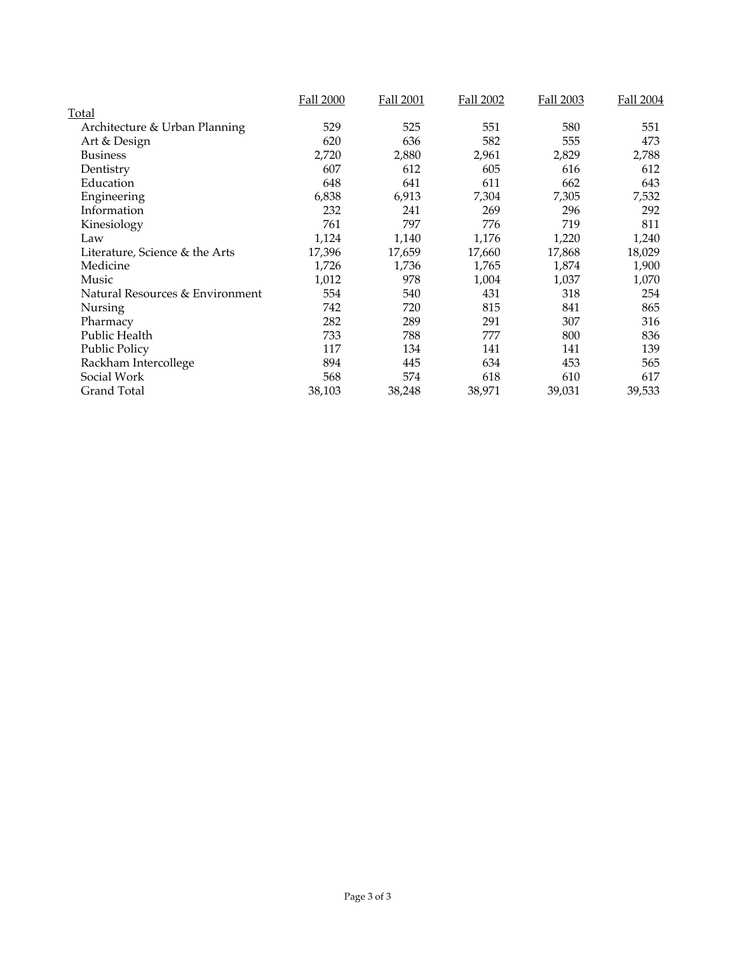|                                 | <b>Fall 2000</b> | <b>Fall 2001</b> | <b>Fall 2002</b> | <b>Fall 2003</b> | Fall 2004 |
|---------------------------------|------------------|------------------|------------------|------------------|-----------|
| Total                           |                  |                  |                  |                  |           |
| Architecture & Urban Planning   | 529              | 525              | 551              | 580              | 551       |
| Art & Design                    | 620              | 636              | 582              | 555              | 473       |
| <b>Business</b>                 | 2,720            | 2,880            | 2,961            | 2,829            | 2,788     |
| Dentistry                       | 607              | 612              | 605              | 616              | 612       |
| Education                       | 648              | 641              | 611              | 662              | 643       |
| Engineering                     | 6,838            | 6,913            | 7,304            | 7,305            | 7,532     |
| Information                     | 232              | 241              | 269              | 296              | 292       |
| Kinesiology                     | 761              | 797              | 776              | 719              | 811       |
| Law                             | 1,124            | 1,140            | 1,176            | 1,220            | 1,240     |
| Literature, Science & the Arts  | 17,396           | 17,659           | 17,660           | 17,868           | 18,029    |
| Medicine                        | 1,726            | 1,736            | 1,765            | 1,874            | 1,900     |
| Music                           | 1,012            | 978              | 1,004            | 1,037            | 1,070     |
| Natural Resources & Environment | 554              | 540              | 431              | 318              | 254       |
| Nursing                         | 742              | 720              | 815              | 841              | 865       |
| Pharmacy                        | 282              | 289              | 291              | 307              | 316       |
| Public Health                   | 733              | 788              | 777              | 800              | 836       |
| <b>Public Policy</b>            | 117              | 134              | 141              | 141              | 139       |
| Rackham Intercollege            | 894              | 445              | 634              | 453              | 565       |
| Social Work                     | 568              | 574              | 618              | 610              | 617       |
| <b>Grand Total</b>              | 38,103           | 38,248           | 38,971           | 39,031           | 39,533    |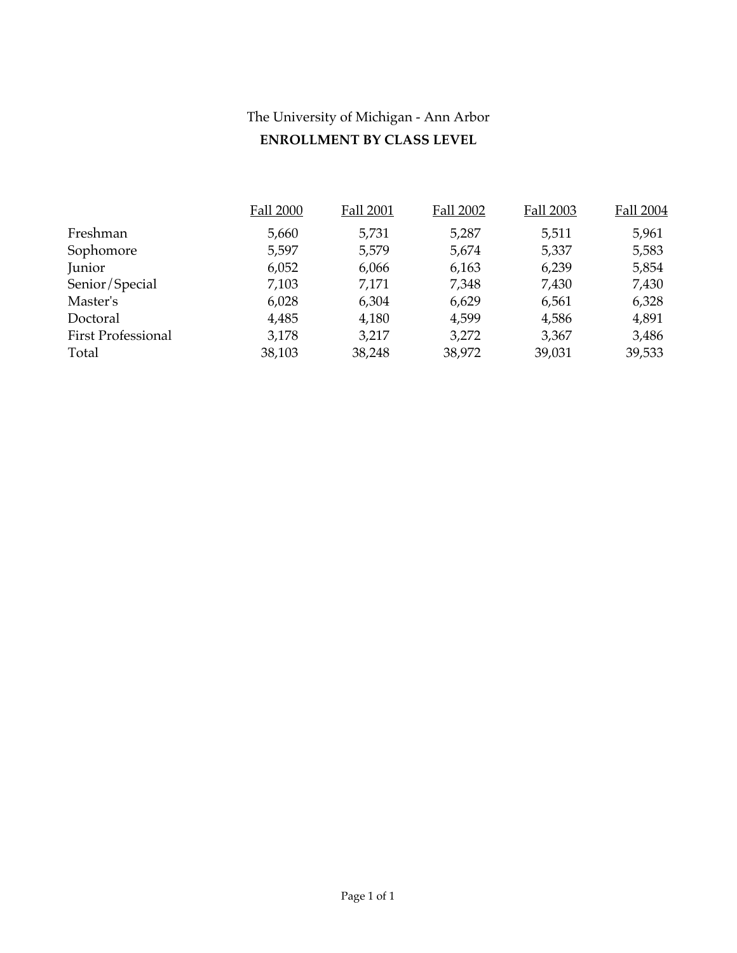## The University of Michigan - Ann Arbor **ENROLLMENT BY CLASS LEVEL**

|                           | <b>Fall 2000</b> | <b>Fall 2001</b> | Fall 2002 | Fall 2003 | Fall 2004 |
|---------------------------|------------------|------------------|-----------|-----------|-----------|
| Freshman                  | 5,660            | 5,731            | 5,287     | 5,511     | 5,961     |
| Sophomore                 | 5,597            | 5,579            | 5,674     | 5,337     | 5,583     |
| Junior                    | 6,052            | 6,066            | 6,163     | 6,239     | 5,854     |
| Senior/Special            | 7,103            | 7,171            | 7,348     | 7,430     | 7,430     |
| Master's                  | 6,028            | 6,304            | 6,629     | 6,561     | 6,328     |
| Doctoral                  | 4,485            | 4,180            | 4,599     | 4,586     | 4,891     |
| <b>First Professional</b> | 3,178            | 3,217            | 3,272     | 3,367     | 3,486     |
| Total                     | 38,103           | 38,248           | 38,972    | 39,031    | 39,533    |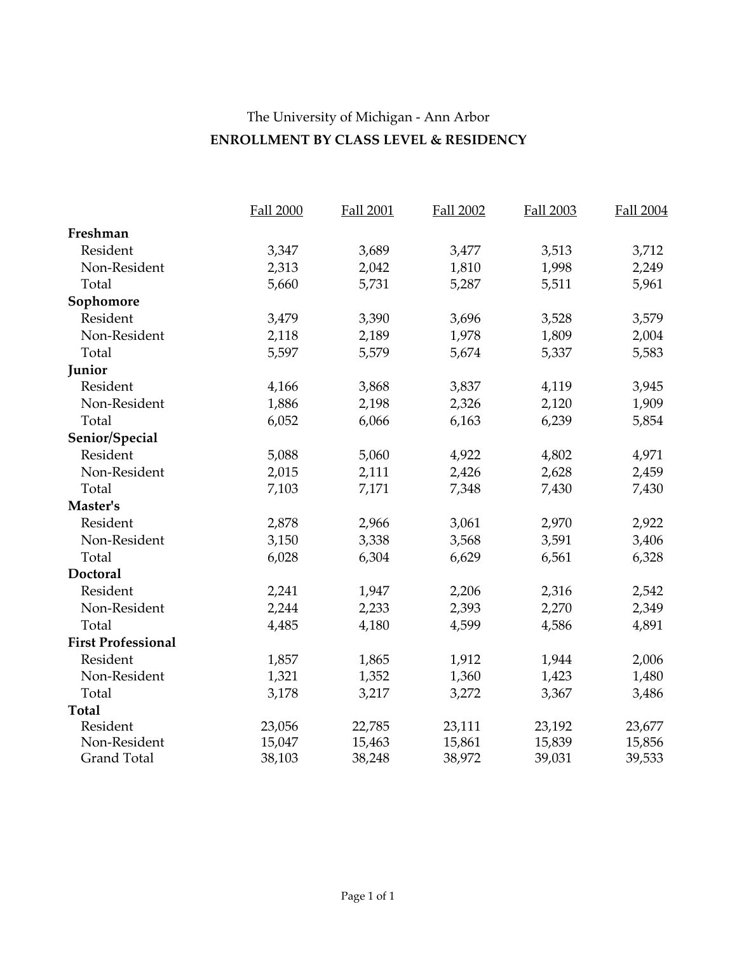## The University of Michigan - Ann Arbor **ENROLLMENT BY CLASS LEVEL & RESIDENCY**

|                           | <b>Fall 2000</b> | <b>Fall 2001</b> | <b>Fall 2002</b> | <b>Fall 2003</b> | Fall 2004 |
|---------------------------|------------------|------------------|------------------|------------------|-----------|
| Freshman                  |                  |                  |                  |                  |           |
| Resident                  | 3,347            | 3,689            | 3,477            | 3,513            | 3,712     |
| Non-Resident              | 2,313            | 2,042            | 1,810            | 1,998            | 2,249     |
| Total                     | 5,660            | 5,731            | 5,287            | 5,511            | 5,961     |
| Sophomore                 |                  |                  |                  |                  |           |
| Resident                  | 3,479            | 3,390            | 3,696            | 3,528            | 3,579     |
| Non-Resident              | 2,118            | 2,189            | 1,978            | 1,809            | 2,004     |
| Total                     | 5,597            | 5,579            | 5,674            | 5,337            | 5,583     |
| Junior                    |                  |                  |                  |                  |           |
| Resident                  | 4,166            | 3,868            | 3,837            | 4,119            | 3,945     |
| Non-Resident              | 1,886            | 2,198            | 2,326            | 2,120            | 1,909     |
| Total                     | 6,052            | 6,066            | 6,163            | 6,239            | 5,854     |
| Senior/Special            |                  |                  |                  |                  |           |
| Resident                  | 5,088            | 5,060            | 4,922            | 4,802            | 4,971     |
| Non-Resident              | 2,015            | 2,111            | 2,426            | 2,628            | 2,459     |
| Total                     | 7,103            | 7,171            | 7,348            | 7,430            | 7,430     |
| Master's                  |                  |                  |                  |                  |           |
| Resident                  | 2,878            | 2,966            | 3,061            | 2,970            | 2,922     |
| Non-Resident              | 3,150            | 3,338            | 3,568            | 3,591            | 3,406     |
| Total                     | 6,028            | 6,304            | 6,629            | 6,561            | 6,328     |
| Doctoral                  |                  |                  |                  |                  |           |
| Resident                  | 2,241            | 1,947            | 2,206            | 2,316            | 2,542     |
| Non-Resident              | 2,244            | 2,233            | 2,393            | 2,270            | 2,349     |
| Total                     | 4,485            | 4,180            | 4,599            | 4,586            | 4,891     |
| <b>First Professional</b> |                  |                  |                  |                  |           |
| Resident                  | 1,857            | 1,865            | 1,912            | 1,944            | 2,006     |
| Non-Resident              | 1,321            | 1,352            | 1,360            | 1,423            | 1,480     |
| Total                     | 3,178            | 3,217            | 3,272            | 3,367            | 3,486     |
| <b>Total</b>              |                  |                  |                  |                  |           |
| Resident                  | 23,056           | 22,785           | 23,111           | 23,192           | 23,677    |
| Non-Resident              | 15,047           | 15,463           | 15,861           | 15,839           | 15,856    |
| <b>Grand Total</b>        | 38,103           | 38,248           | 38,972           | 39,031           | 39,533    |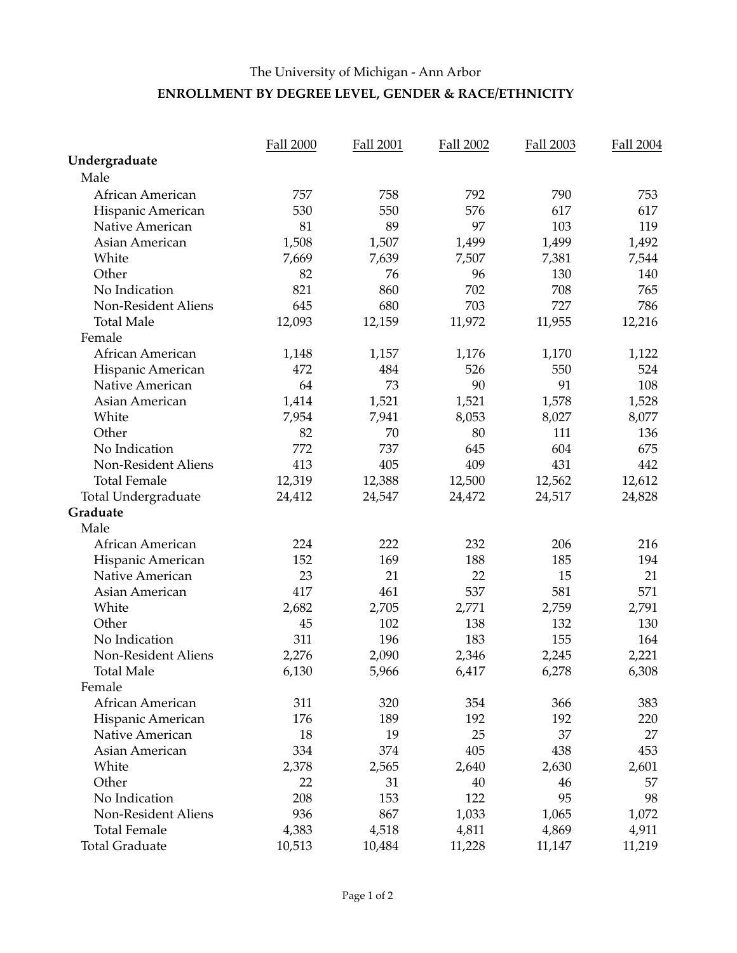#### The University of Michigan - Ann Arbor **ENROLLMENT BY DEGREE LEVEL, GENDER & RACE/ETHNICITY**

|                            | <b>Fall 2000</b> | <b>Fall 2001</b> | Fall 2002 | Fall 2003 | <b>Fall 2004</b> |
|----------------------------|------------------|------------------|-----------|-----------|------------------|
| Undergraduate              |                  |                  |           |           |                  |
| Male                       |                  |                  |           |           |                  |
| African American           | 757              | 758              | 792       | 790       | 753              |
| Hispanic American          | 530              | 550              | 576       | 617       | 617              |
| Native American            | 81               | 89               | 97        | 103       | 119              |
| Asian American             | 1,508            | 1,507            | 1,499     | 1,499     | 1,492            |
| White                      | 7,669            | 7,639            | 7,507     | 7,381     | 7,544            |
| Other                      | 82               | 76               | 96        | 130       | 140              |
| No Indication              | 821              | 860              | 702       | 708       | 765              |
| Non-Resident Aliens        | 645              | 680              | 703       | 727       | 786              |
| <b>Total Male</b>          | 12,093           | 12,159           | 11,972    | 11,955    | 12,216           |
| Female                     |                  |                  |           |           |                  |
| African American           | 1,148            | 1,157            | 1,176     | 1,170     | 1,122            |
| Hispanic American          | 472              | 484              | 526       | 550       | 524              |
| Native American            | 64               | 73               | 90        | 91        | 108              |
| Asian American             | 1,414            | 1,521            | 1,521     | 1,578     | 1,528            |
| White                      | 7,954            | 7,941            | 8,053     | 8,027     | 8,077            |
| Other                      | 82               | 70               | 80        | 111       | 136              |
| No Indication              | 772              | 737              | 645       | 604       | 675              |
| Non-Resident Aliens        | 413              | 405              | 409       | 431       | 442              |
| <b>Total Female</b>        | 12,319           | 12,388           | 12,500    | 12,562    | 12,612           |
| <b>Total Undergraduate</b> | 24,412           | 24,547           | 24,472    | 24,517    | 24,828           |
| Graduate                   |                  |                  |           |           |                  |
| Male                       |                  |                  |           |           |                  |
| African American           | 224              | 222              | 232       | 206       | 216              |
| Hispanic American          | 152              | 169              | 188       | 185       | 194              |
| Native American            | 23               | 21               | 22        | 15        | 21               |
| Asian American             | 417              | 461              | 537       | 581       | 571              |
| White                      | 2,682            | 2,705            | 2,771     | 2,759     | 2,791            |
| Other                      | 45               | 102              | 138       | 132       | 130              |
| No Indication              | 311              | 196              | 183       | 155       | 164              |
| Non-Resident Aliens        | 2,276            | 2,090            | 2,346     | 2,245     | 2,221            |
| Total Male                 | 6,130            | 5,966            | 6,417     | 6,278     | 6,308            |
| Female                     |                  |                  |           |           |                  |
| African American           | 311              | 320              | 354       | 366       | 383              |
| Hispanic American          | 176              | 189              | 192       | 192       | 220              |
| Native American            | 18               | 19               | 25        | 37        | 27               |
| Asian American             | 334              | 374              | 405       | 438       | 453              |
| White                      | 2,378            | 2,565            | 2,640     | 2,630     | 2,601            |
| Other                      | 22               | 31               | 40        | 46        | 57               |
| No Indication              | 208              | 153              | 122       | 95        | 98               |
| Non-Resident Aliens        | 936              | 867              | 1,033     | 1,065     | 1,072            |
| <b>Total Female</b>        | 4,383            | 4,518            | 4,811     | 4,869     | 4,911            |
| <b>Total Graduate</b>      | 10,513           | 10,484           | 11,228    | 11,147    | 11,219           |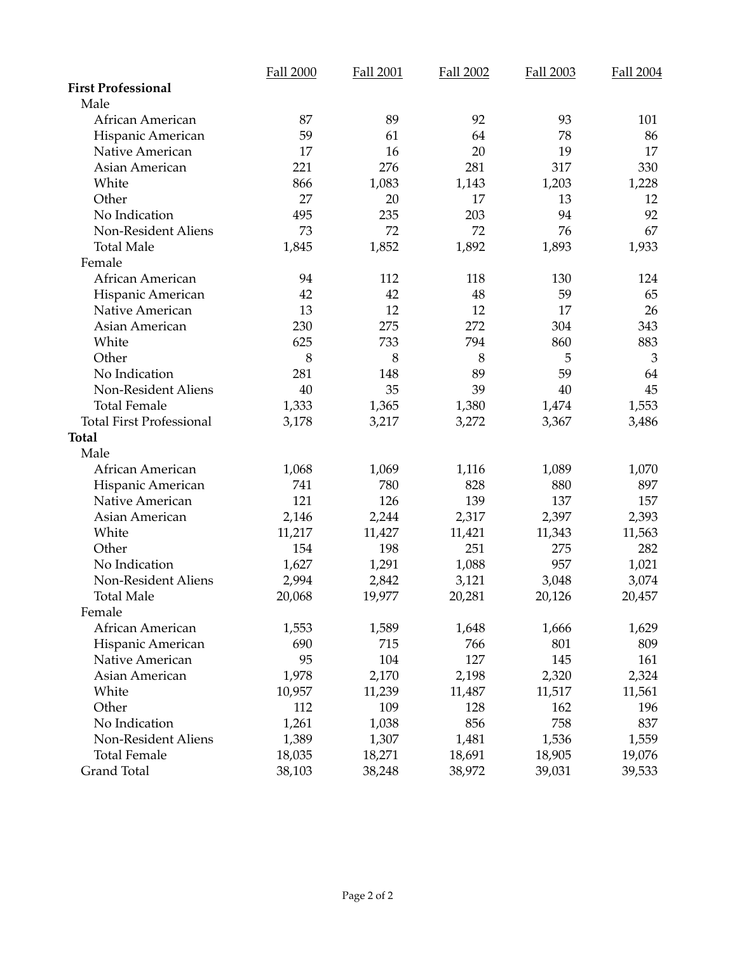|                                 | <b>Fall 2000</b> | <b>Fall 2001</b> | Fall 2002 | Fall 2003 | <b>Fall 2004</b> |
|---------------------------------|------------------|------------------|-----------|-----------|------------------|
| <b>First Professional</b>       |                  |                  |           |           |                  |
| Male                            |                  |                  |           |           |                  |
| African American                | 87               | 89               | 92        | 93        | 101              |
| Hispanic American               | 59               | 61               | 64        | 78        | 86               |
| Native American                 | 17               | 16               | 20        | 19        | 17               |
| Asian American                  | 221              | 276              | 281       | 317       | 330              |
| White                           | 866              | 1,083            | 1,143     | 1,203     | 1,228            |
| Other                           | 27               | 20               | 17        | 13        | 12               |
| No Indication                   | 495              | 235              | 203       | 94        | 92               |
| Non-Resident Aliens             | 73               | 72               | 72        | 76        | 67               |
| <b>Total Male</b>               | 1,845            | 1,852            | 1,892     | 1,893     | 1,933            |
| Female                          |                  |                  |           |           |                  |
| African American                | 94               | 112              | 118       | 130       | 124              |
| Hispanic American               | 42               | 42               | 48        | 59        | 65               |
| Native American                 | 13               | 12               | 12        | 17        | 26               |
| Asian American                  | 230              | 275              | 272       | 304       | 343              |
| White                           | 625              | 733              | 794       | 860       | 883              |
| Other                           | 8                | 8                | 8         | 5         | 3                |
| No Indication                   | 281              | 148              | 89        | 59        | 64               |
| Non-Resident Aliens             | 40               | 35               | 39        | 40        | 45               |
| <b>Total Female</b>             | 1,333            | 1,365            | 1,380     | 1,474     | 1,553            |
| <b>Total First Professional</b> | 3,178            | 3,217            | 3,272     | 3,367     | 3,486            |
| <b>Total</b>                    |                  |                  |           |           |                  |
| Male                            |                  |                  |           |           |                  |
| African American                | 1,068            | 1,069            | 1,116     | 1,089     | 1,070            |
| Hispanic American               | 741              | 780              | 828       | 880       | 897              |
| Native American                 | 121              | 126              | 139       | 137       | 157              |
| Asian American                  | 2,146            | 2,244            | 2,317     | 2,397     | 2,393            |
| White                           | 11,217           | 11,427           | 11,421    | 11,343    | 11,563           |
| Other                           | 154              | 198              | 251       | 275       | 282              |
| No Indication                   | 1,627            | 1,291            | 1,088     | 957       | 1,021            |
| Non-Resident Aliens             | 2,994            | 2,842            | 3,121     | 3,048     | 3,074            |
| <b>Total Male</b>               | 20,068           | 19,977           | 20,281    | 20,126    | 20,457           |
| Female                          |                  |                  |           |           |                  |
| African American                | 1,553            | 1,589            | 1,648     | 1,666     | 1,629            |
| Hispanic American               | 690              | 715              | 766       | 801       | 809              |
| Native American                 | 95               | 104              | 127       | 145       | 161              |
| Asian American                  | 1,978            | 2,170            | 2,198     | 2,320     | 2,324            |
| White                           | 10,957           | 11,239           | 11,487    | 11,517    | 11,561           |
| Other                           | 112              | 109              | 128       | 162       | 196              |
| No Indication                   | 1,261            | 1,038            | 856       | 758       | 837              |
| <b>Non-Resident Aliens</b>      | 1,389            | 1,307            | 1,481     | 1,536     | 1,559            |
| <b>Total Female</b>             | 18,035           | 18,271           | 18,691    | 18,905    | 19,076           |
| Grand Total                     | 38,103           | 38,248           | 38,972    | 39,031    | 39,533           |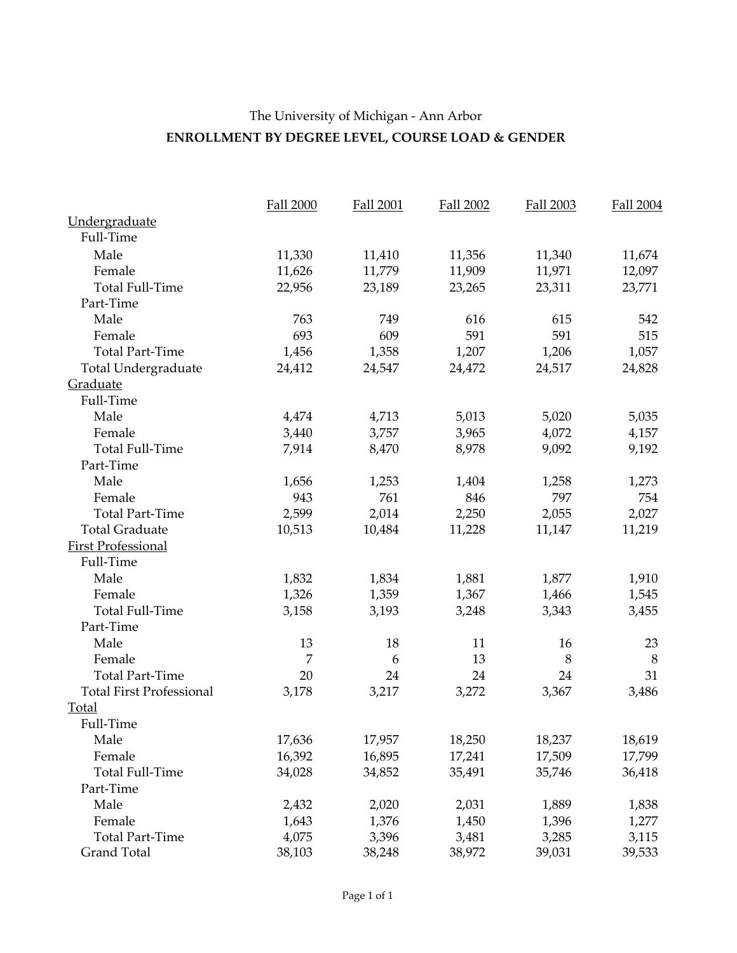## The University of Michigan - Ann Arbor **ENROLLMENT BY DEGREE LEVEL, COURSE LOAD & GENDER**

|                                 | <b>Fall 2000</b> | <b>Fall 2001</b> | <b>Fall 2002</b> | <b>Fall 2003</b> | Fall 2004 |
|---------------------------------|------------------|------------------|------------------|------------------|-----------|
| Undergraduate                   |                  |                  |                  |                  |           |
| Full-Time                       |                  |                  |                  |                  |           |
| Male                            | 11,330           | 11,410           | 11,356           | 11,340           | 11,674    |
| Female                          | 11,626           | 11,779           | 11,909           | 11,971           | 12,097    |
| <b>Total Full-Time</b>          | 22,956           | 23,189           | 23,265           | 23,311           | 23,771    |
| Part-Time                       |                  |                  |                  |                  |           |
| Male                            | 763              | 749              | 616              | 615              | 542       |
| Female                          | 693              | 609              | 591              | 591              | 515       |
| <b>Total Part-Time</b>          | 1,456            | 1,358            | 1,207            | 1,206            | 1,057     |
| <b>Total Undergraduate</b>      | 24,412           | 24,547           | 24,472           | 24,517           | 24,828    |
| Graduate                        |                  |                  |                  |                  |           |
| Full-Time                       |                  |                  |                  |                  |           |
| Male                            | 4,474            | 4,713            | 5,013            | 5,020            | 5,035     |
| Female                          | 3,440            | 3,757            | 3,965            | 4,072            | 4,157     |
| <b>Total Full-Time</b>          | 7,914            | 8,470            | 8,978            | 9,092            | 9,192     |
| Part-Time                       |                  |                  |                  |                  |           |
| Male                            | 1,656            | 1,253            | 1,404            | 1,258            | 1,273     |
| Female                          | 943              | 761              | 846              | 797              | 754       |
| <b>Total Part-Time</b>          | 2,599            | 2,014            | 2,250            | 2,055            | 2,027     |
| <b>Total Graduate</b>           | 10,513           | 10,484           | 11,228           | 11,147           | 11,219    |
| <b>First Professional</b>       |                  |                  |                  |                  |           |
| Full-Time                       |                  |                  |                  |                  |           |
| Male                            | 1,832            | 1,834            | 1,881            | 1,877            | 1,910     |
| Female                          | 1,326            | 1,359            | 1,367            | 1,466            | 1,545     |
| <b>Total Full-Time</b>          | 3,158            | 3,193            | 3,248            | 3,343            | 3,455     |
| Part-Time                       |                  |                  |                  |                  |           |
| Male                            | 13               | 18               | 11               | 16               | 23        |
| Female                          | 7                | 6                | 13               | 8                | 8         |
| <b>Total Part-Time</b>          | 20               | 24               | 24               | 24               | 31        |
| <b>Total First Professional</b> | 3,178            | 3,217            | 3,272            | 3,367            | 3,486     |
| <b>Total</b>                    |                  |                  |                  |                  |           |
| Full-Time                       |                  |                  |                  |                  |           |
| Male                            | 17,636           | 17,957           | 18,250           | 18,237           | 18,619    |
| Female                          | 16,392           | 16,895           | 17,241           | 17,509           | 17,799    |
| <b>Total Full-Time</b>          | 34,028           | 34,852           | 35,491           | 35,746           | 36,418    |
| Part-Time                       |                  |                  |                  |                  |           |
| Male                            | 2,432            | 2,020            | 2,031            | 1,889            | 1,838     |
| Female                          | 1,643            | 1,376            | 1,450            | 1,396            | 1,277     |
| <b>Total Part-Time</b>          | 4,075            | 3,396            | 3,481            | 3,285            | 3,115     |
| Grand Total                     | 38,103           | 38,248           | 38,972           | 39,031           | 39,533    |